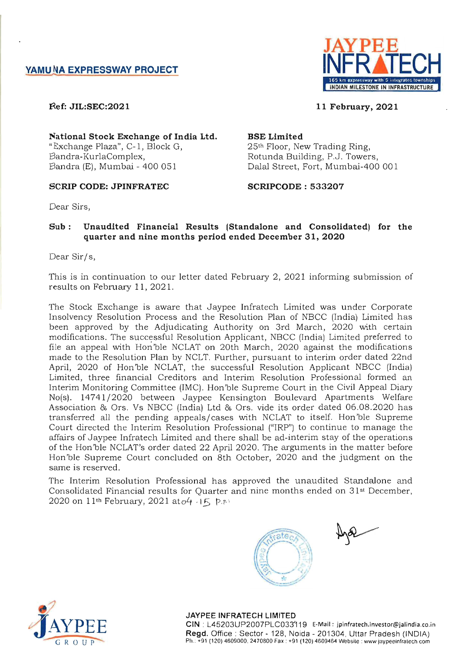

11 February, 2021

~ef: JIL:SEC:2021

National Stock Exchange of India Ltd. "Exchange Plaza", C-l, Block G, Bandra -KurlaComplex, Bandra (E), Mumbai - 400 051

# SCRIP CODE: JPINFRATEC SCRIPCODE : 533207

# BSE Limited

25th Floor, New Trading Ring, Rotunda Building, P.J. Towers, Dalal Street, Fort, Mumbai-400 001

Dear Sirs,

# Sub: Unaudited Financial Results (Standalone and Consolidated) for the quarter and nine months period ended December 31,2020

Dear Sir/s,

This is in continuation to our letter dated February 2, 2021 informing submission of results on February 11, 202l.

The Stock Exchange is aware that Jaypee Infratech Limited was under Corporate Insolvency Resolution Process and the Resolution Plan of NBCC (India) Limited has been approved by the Adjudicating Authority on 3rd March, 2020 with certain modifications. The successful Resolution Applicant, NBCC (India) Limited preferred to file an appeal with Hon'ble NCLAT on 20th March, 2020 against the modifications made to the Resolution Plan by NCLT. Further, pursuant to interim order dated 22nd April, 2020 of Hon'ble NCLAT, the successful Resolution Applicant NBCC (India) Limited, three financial Creditors and Interim Resolution Professional formed an Interim Monitoring Committee (IMC). Hon'ble Supreme Court in the Civil Appeal Diary No(s). 14741/2020 between Jaypee Kensington Boulevard Apartments Welfare Association & Ors. Vs NBCC (India) Ltd & Ors. vide its order dated 06.08.2020 has transferred all the pending appeals/cases with NCLAT to itself. Hon'ble Supreme Court directed the Interim Resolution Professional ("IRP") to continue to manage the affairs of Jaypee Infratech Limited and there shall be ad-interim stay of the operations of the Hon'ble NCLAT's order dated 22 April 2020. The arguments in the matter before Hon'ble Supreme Court concluded on 8th October, 2020 and the judgment on the same is reserved.

The Interim Resolution Professional has approved the unaudited Standalone and Consolidated Financial results for Quarter and nine months ended on 31<sup>st</sup> December, 2020 on 11<sup>th</sup> February, 2021 at  $o4$   $(15)$  p.r.





JAYPEE INFRATECH LIMITED CIN : L45203UP2007PLC033'119 E-Mail: jpinfratech.investor@jalindia.co.in Regd. Office : Sector - 128, Noida - 201304, Uttar Pradesh (INDIA) Ph.: +91 (120) 4609000. 2470800 Fax: +91 (120) 4609464 Website: www.jaypeeinfratech.com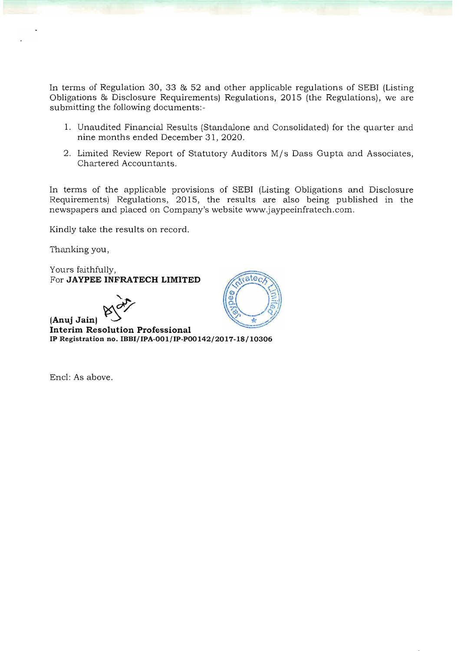In terms of Regulation 30, 33 & 52 and other applicable regulations of SEBI (Listing Obligations & Disclosure Requirements) Regulations, 2015 (the Regulations), we are submitting the following documents:-

- 1. Unaudited Financial Results (Standalone and Consolidated) for the quarter and nine months ended December 31,2020.
- 2. Limited Review Report of Statutory Auditors M/s Dass Gupta and Associates, Chartered Accountants.

In terms of the applicable provisions of SEBI (Listing Obligations and Disclosure Requirements) Regulations, 2015, the results are also being published in the newspapers and placed on Company's website www.jaypeeinfratech.com.

Kindly take the results on record.

Thanking you,

Yours faithfully, For **JAYPEE INFRATECH LIMITED** 



<sup>~</sup>**(Anuj Jain)** ~ **Interim Resolution Professional IP Registration no. IBBI/IPA-001/IP-P00142/2017-18/ lO306** 

Encl: As above.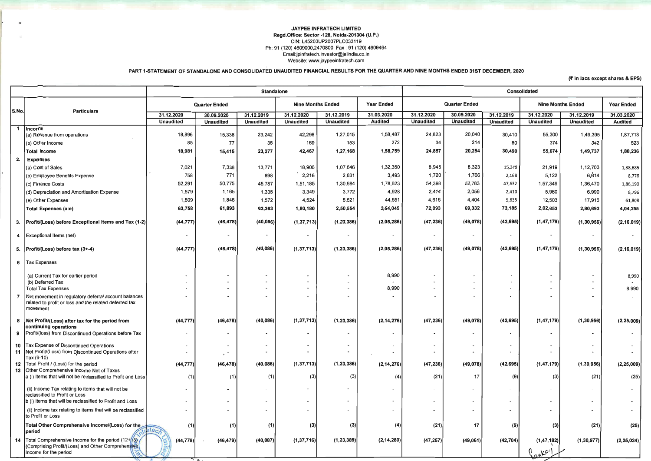## JAYPEE INFRATECH LIMITED Regd.Office: Sector -128, Noida-201304 (U.P.) CIN: L45203UP2007PLC033119 Ph: 91 (120) 4609000,2470800 Fax: 91 (120) 4609464 Email:jpinfratech.investor@jalindia.co.in Website: www.jaypeeinfratech.com

PART l-STATEMENT OF STANDALONE AND CONSOLIDATED UNAUDITED FINANCIAL RESULTS FOR THE QUARTER AND NINE MONTHS ENDED 31ST DECEMBER, 2020

|                |                                                                                                                            | <b>Standalone</b>    |                          |                                                      |                                               |                  |                          | Consolidated                       |                          |                          |                  |                   |                |
|----------------|----------------------------------------------------------------------------------------------------------------------------|----------------------|--------------------------|------------------------------------------------------|-----------------------------------------------|------------------|--------------------------|------------------------------------|--------------------------|--------------------------|------------------|-------------------|----------------|
|                |                                                                                                                            | <b>Quarter Ended</b> |                          |                                                      | <b>Nine Months Ended</b><br><b>Year Ended</b> |                  | <b>Quarter Ended</b>     |                                    |                          | <b>Nine Months Ended</b> |                  | <b>Year Ended</b> |                |
| S.No.          | <b>Particulars</b>                                                                                                         | 31.12.2020           | 30.09.2020               | 31.12.2019                                           | 31.12.2020                                    | 31.12.2019       | 31.03.2020               | 31.12.2020                         | 30.09.2020               | 31.12.2019               | 31.12.2020       | 31.12.2019        | 31.03.2020     |
|                |                                                                                                                            | <b>Unaudited</b>     | <b>Unaudited</b>         | <b>Unaudited</b>                                     | <b>Unaudited</b>                              | <b>Unaudited</b> | <b>Audited</b>           | <b>Unaudited</b>                   | <b>Unaudited</b>         | <b>Unaudited</b>         | <b>Unaudited</b> | <b>Unaudited</b>  | <b>Audited</b> |
|                | 1  Incorne<br>(a) Revenue from operations                                                                                  | 18,896               | 15,338                   | 23,242                                               | 42,298                                        | 1,27,015         | 1,58,487                 | 24,823                             | 20,040                   | 30,410                   | 55,300           | 1,49,395          | 1,87,713       |
|                | (b) Other Income                                                                                                           | 85                   | 77                       | 35                                                   | 169                                           | 153              | 272                      | 34                                 | 214                      | 80                       | 374              | 342               | 523            |
|                | <b>Total Income</b>                                                                                                        | 18,981               | 15,415                   | 23,277                                               | 42,467                                        | 1,27,168         | 1,58,759                 | 24,857                             | 20,254                   | 30,490                   | 55,674           | 1,49,737          | 1,88,236       |
| 2.             | <b>Expenses</b>                                                                                                            |                      |                          |                                                      |                                               |                  |                          |                                    |                          |                          |                  |                   |                |
|                | (a) Cost of Sales                                                                                                          | 7,621                | 7,336                    | 13,771                                               | 18,906                                        | 1,07,646         | 1,32,350                 | 8,945                              | 8,323                    | 15,340                   | 21,919           | 1,12,703          | 1,38,685       |
|                | (b) Employee Benefits Expense                                                                                              | 758                  | 771                      | 898                                                  | 2,216                                         | 2,631            | 3,493                    | 1,720                              | 1,766                    | 2,168                    | 5,122            | 6,614             | 8,776          |
|                | (c) Finance Costs                                                                                                          | 52,291               | 50,775                   | 45,787                                               | 1,51,185                                      | 1,30,984         | 1,78,623                 | 54,398                             | 52,783                   | 47,632                   | 1,57,349         | 1,36,470          | 1,86,190       |
|                | (d) Depreciation and Amortisation Expense                                                                                  | 1,579                | 1,165                    | 1,335                                                | 3,349                                         | 3,772            | 4,928                    | 2,414                              | 2,056                    | 2,410                    | 5,960            | 6,990             | 8,796          |
|                | (e) Other Expenses                                                                                                         | 1,509                | 1,846                    | 1,572                                                | 4,524                                         | 5,521            | 44,651                   | 4,616                              | 4,404                    | 5,635                    | 12,503           | 17,916            | 61,808         |
|                | Total Expenses (a:e)                                                                                                       | 63,758               | 61,893                   | 63,363                                               | 1,80,180                                      | 2,50,554         | 3,64,045                 | 72,093                             | 69,332                   | 73,185                   | 2,02,853         | 2,80,693          | 4,04,255       |
|                | 3. Profit/(Loss) before Exceptional Items and Tax (1-2)                                                                    | (44, 777)            | (46, 478)                | (40, 086)                                            | (1, 37, 713)                                  | (1, 23, 386)     | (2,05,286)               | (47, 236)                          | (49,078)                 | (42, 695)                | (1, 47, 179)     | (1, 30, 956)      | (2, 16, 019)   |
|                | 4 Exceptional Items (net)                                                                                                  |                      |                          | $\overline{\phantom{a}}$                             | $\sim$                                        |                  | $\overline{\phantom{a}}$ | $\overline{\phantom{a}}$           | $\overline{\phantom{a}}$ | $\overline{\phantom{0}}$ | $\sim$           |                   |                |
|                | 5. $ Profit  (Loss) before tax (3 + -4)$                                                                                   | (44, 777)            | (46, 478)                | (40, 086)                                            | (1, 37, 713)                                  | (1, 23, 386)     | (2,05,286)               | (47, 236)                          | (49, 078)                | (42, 695)                | (1, 47, 179)     | (1,30,956)        | (2, 16, 019)   |
|                | 6   Tax Expenses                                                                                                           |                      |                          |                                                      |                                               |                  |                          |                                    |                          |                          |                  |                   |                |
|                | (a) Current Tax for earlier period                                                                                         |                      | $\overline{\phantom{0}}$ | $\blacksquare$                                       | $\overline{a}$                                |                  | 8,990                    | $\sim$                             | $\overline{\phantom{a}}$ | $\overline{\phantom{a}}$ |                  |                   | 8,990          |
|                | (b) Deferred Tax<br><b>Total Tax Expenses</b>                                                                              |                      |                          | $\overline{\phantom{a}}$<br>$\overline{\phantom{a}}$ |                                               |                  | $\overline{a}$<br>8,990  | $\sim$<br>$\overline{\phantom{0}}$ | $\overline{a}$           |                          |                  |                   | 8,990          |
| $\overline{7}$ | Net movement in regulatory deferral account balances<br>related to profit or loss and the related deferred tax<br>movement |                      | $\sim$                   | $\overline{\phantom{a}}$                             |                                               |                  | $\overline{\phantom{a}}$ | $\overline{\phantom{a}}$           |                          |                          |                  |                   |                |
|                | 8 Net Profit/(Loss) after tax for the period from<br>continuing operations                                                 | (44, 777)            | (46, 478)                | (40, 086)                                            | (1, 37, 713)                                  | (1, 23, 386)     | (2, 14, 276)             | (47, 236)                          | (49, 078)                | (42, 695)                | (1, 47, 179)     | (1, 30, 956)      | (2, 25, 009)   |
|                | 9 Profit/(loss) from Discontinued Operations before Tax                                                                    |                      |                          |                                                      |                                               |                  | $\blacksquare$           |                                    |                          |                          |                  |                   |                |
|                | 10   Tax Expense of Discontinued Operations<br>11 Net Profit/(Loss) from Discontinued Operations after                     |                      |                          | $\overline{\phantom{a}}$                             |                                               |                  | ٠<br>٠                   |                                    |                          |                          |                  |                   |                |
|                | Tax (9-10)<br>12   Total Profit / (Loss) for the period                                                                    | (44, 777)            | (46, 478)                | (40, 086)                                            | (1, 37, 713)                                  | (1, 23, 386)     | (2, 14, 276)             | (47, 236)                          | (49,078)                 | (42, 695)                | (1, 47, 179)     | (1, 30, 956)      | (2, 25, 009)   |
|                | 13 Other Comprehensive Income Net of Taxes<br>a (i) Items that will not be reclassified to Profit and Loss                 | (1)                  | (1)                      | (1)                                                  | (3)                                           | (3)              | (4)                      | (21)                               | 17                       | (9)                      | (3)              | (21)              | (25)           |
|                | (ii) Income Tax relating to items that will not be<br>reclassified to Profit or Loss                                       |                      | $\sim$                   |                                                      |                                               |                  |                          | $\sim$                             |                          |                          |                  |                   |                |
|                | b (i) Items that will be reclassified to Profit and Loss                                                                   |                      |                          | $\overline{\phantom{a}}$                             |                                               |                  | $\sim$                   | $\overline{\phantom{a}}$           |                          |                          |                  |                   |                |
|                | (ii) Income tax relating to items that will be reclassified<br>to Profit or Loss                                           |                      |                          | $\overline{\phantom{a}}$                             |                                               |                  |                          |                                    |                          |                          |                  |                   |                |
|                | Total Other Comprehensive Income/(Loss) for the<br>period                                                                  | (1)                  | (1)                      | (1)                                                  | (3)                                           | (3)              | (4)                      | (21)                               | 17                       | (9)                      | (3)              | (21)              | (25)           |
|                | 14   Total Comprehensive Income for the period (12+13)<br>(Comprising Profit/(Loss) and Other Comprehensive                | (44, 778)            | (46, 479)                | (40, 087)                                            | (1, 37, 716)                                  | (1, 23, 389)     | (2, 14, 280)             | (47, 257)                          | (49,061)                 | (42, 704)                | (1, 47, 182)     | (1, 30, 977)      | (2, 25, 034)   |
|                | Income for the period                                                                                                      |                      | ~~                       |                                                      |                                               |                  |                          |                                    |                          |                          | 2M               |                   |                |
|                |                                                                                                                            |                      |                          |                                                      |                                               |                  |                          |                                    |                          |                          |                  |                   |                |

### $($ ₹ in lacs except shares & EPS)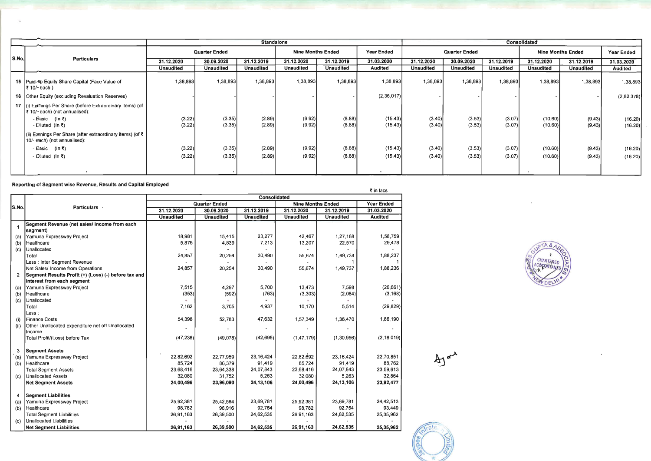|                                                                 |                                                                                            | <b>Standalone</b>    |                  |                          |                  |                  |                      | Consolidated     |                  |                          |                    |                   |                    |
|-----------------------------------------------------------------|--------------------------------------------------------------------------------------------|----------------------|------------------|--------------------------|------------------|------------------|----------------------|------------------|------------------|--------------------------|--------------------|-------------------|--------------------|
| S.No.                                                           | <b>Particulars</b>                                                                         | <b>Quarter Ended</b> |                  | <b>Nine Months Ended</b> |                  | Year Ended       | <b>Quarter Ended</b> |                  |                  | <b>Nine Months Ended</b> |                    | <b>Year Ended</b> |                    |
|                                                                 |                                                                                            | 31.12.2020           | 30.09.2020       | 31.12.2019               | 31.12.2020       | 31.12.2019       | 31.03.2020           | 31.12.2020       | 30.09.2020       | 31.12.2019               | 31.12.2020         | 31.12.2019        | 31.03.2020         |
|                                                                 |                                                                                            | <b>Unaudited</b>     | <b>Unaudited</b> | <b>Unaudited</b>         | <b>Unaudited</b> | <b>Unaudited</b> | <b>Audited</b>       | <b>Unaudited</b> | <b>Unaudited</b> | <b>Unaudited</b>         | <b>Unaudited</b>   | <b>Unaudited</b>  | <b>Audited</b>     |
|                                                                 | 15   Paid-Vp Equity Share Capital (Face Value of<br> ₹ 10/~each)                           | 1,38,893             | 1,38,893         | 1,38,893                 | 1,38,893         | 1,38,893         | 1,38,893             | 1,38,893         | 1,38,893         | 1,38,893                 | 1,38,893           | 1,38,893          | 1,38,893           |
|                                                                 | 16 Other Equity (excluding Revaluation Reserves)                                           |                      |                  |                          |                  |                  | (2,36,017)           |                  |                  |                          |                    |                   | (2,82,378)         |
|                                                                 | 17 (i) Eamings Per Share (before Extraordinary items) (of<br>₹ 10/-each) (not annualised): |                      |                  |                          |                  |                  |                      |                  |                  |                          |                    |                   |                    |
|                                                                 | - Basic (In ₹)<br>- Diluted (In ₹)                                                         | (3.22)<br>(3.22)     | (3.35)<br>(3.35) | (2.89)<br>(2.89)         | (9.92)<br>(9.92) | (8.88)<br>(8.88) | (15.43)<br>(15.43)   | (3.40)<br>(3.40) | (3.53)<br>(3.53) | (3.07)<br>(3.07)         | (10.60)<br>(10.60) | (9.43)<br>(9.43)  | (16.20)<br>(16.20) |
|                                                                 | (ii) Earnings Per Share (after extraordinary items) (of ₹<br>10/- each) (not annualised):  |                      |                  |                          |                  |                  |                      |                  |                  |                          |                    |                   |                    |
|                                                                 | - Basic (In ₹)                                                                             | (3.22)               | (3.35)           | (2.89)                   | (9.92)           | (8.88)           | (15.43)              | (3.40)           | (3.53)           | (3.07)                   | (10.60)            | (9.43)            | (16.20)            |
|                                                                 | - Diluted (In $\bar{z}$ )                                                                  | (3.22)               | (3.35)           | (2.89)                   | (9.92)           | (8.88)           | (15.43)              | (3.40)           | (3.53)           | (3.07)                   | (10.60)            | (9.43)            | (16.20)            |
|                                                                 |                                                                                            |                      |                  |                          |                  |                  |                      |                  |                  |                          |                    |                   |                    |
| Reporting of Segment wise Revenue, Results and Capital Employed |                                                                                            |                      |                  |                          |                  |                  |                      |                  |                  |                          |                    |                   |                    |

|                      | र III iacs<br><b>Consolidated</b>                    |                  |                                    |                  |                  |                  |                |  |  |
|----------------------|------------------------------------------------------|------------------|------------------------------------|------------------|------------------|------------------|----------------|--|--|
|                      |                                                      |                  | <b>Nine Months Ended</b>           | Year Ended       |                  |                  |                |  |  |
| S.No.                | <b>Particulars</b>                                   | 31.12.2020       | <b>Quarter Ended</b><br>30.09.2020 | 31.12.2019       | 31.12.2020       | 31.12.2019       | 31.03.2020     |  |  |
|                      |                                                      | <b>Unaudited</b> | <b>Unaudited</b>                   | <b>Unaudited</b> | <b>Unaudited</b> | <b>Unaudited</b> | <b>Audited</b> |  |  |
|                      | Segment Revenue (net sales/ income from each         |                  |                                    |                  |                  |                  |                |  |  |
| $\blacktriangleleft$ | segment)                                             |                  |                                    |                  |                  |                  |                |  |  |
| (a)                  | Yamuna Expressway Project                            | 18,981           | 15,415                             | 23,277           | 42,467           | 1,27,168         | 1,58,759       |  |  |
| (b)                  | Healthcare                                           | 5,876            | 4,839                              | 7,213            | 13,207           | 22,570           | 29,478         |  |  |
| (c)                  | Unallocated                                          |                  |                                    |                  |                  |                  |                |  |  |
|                      | Total                                                | 24,857           | 20,254                             | 30,490           | 55,674           | 1,49,738         | 1,88,237       |  |  |
|                      | Less : Inter Segment Revenue                         |                  |                                    |                  |                  |                  |                |  |  |
|                      | Net Sales/ Income from Operations                    | 24,857           | 20,254                             | 30,490           | 55,674           | 1,49,737         | 1,88,236       |  |  |
| $\overline{2}$       | Segment Results Profit (+) (Loss) (-) before tax and |                  |                                    |                  |                  |                  |                |  |  |
|                      | interest from each segment                           |                  |                                    |                  |                  |                  |                |  |  |
| (a)                  | Yamuna Expressway Project                            | 7,515            | 4,297                              | 5,700            | 13,473           | 7,598            | (26, 661)      |  |  |
| (b)                  | Healthcare                                           | (353)            | (592)                              | (763)            | (3,303)          | (2,084)          | (3, 168)       |  |  |
| (c)                  | Unallocated                                          |                  |                                    |                  |                  |                  |                |  |  |
|                      | Total                                                | 7,162            | 3,705                              | 4,937            | 10,170           | 5,514            | (29, 829)      |  |  |
|                      | ${\sf Less:}$                                        |                  |                                    |                  |                  |                  |                |  |  |
| (i)                  | <b>Finance Costs</b>                                 | 54,398           | 52,783                             | 47,632           | 1,57,349         | 1,36,470         | 1,86,190       |  |  |
| (ii)                 | Other Unallocated expenditure net off Unallocated    |                  |                                    |                  |                  |                  |                |  |  |
|                      | Income                                               |                  |                                    |                  |                  |                  |                |  |  |
|                      | Total Profit/(Loss) before Tax                       | (47, 236)        | (49,078)                           | (42, 695)        | (1, 47, 179)     | (1, 30, 956)     | (2, 16, 019)   |  |  |
|                      |                                                      |                  |                                    |                  |                  |                  |                |  |  |
| 3                    | <b>Segment Assets</b>                                |                  |                                    |                  |                  |                  |                |  |  |
| (a)                  | Yamuna Expressway Project                            | 22,82,692        | 22,77,959                          | 23, 16, 424      | 22,82,692        | 23, 16, 424      | 22,70,851      |  |  |
| (b)                  | Healthcare                                           | 85,724           | 86,379                             | 91,419           | 85,724           | 91,419           | 88,762         |  |  |
|                      | <b>Total Segment Assets</b>                          | 23,68,416        | 23,64,338                          | 24,07,843        | 23,68,416        | 24,07,843        | 23,59,613      |  |  |
| (c)                  | <b>Unallocated Assets</b>                            | 32,080           | 31,752                             | 5,263            | 32,080           | 5,263            | 32,864         |  |  |
|                      | <b>Net Segment Assets</b>                            | 24,00,496        | 23,96,090                          | 24, 13, 106      | 24,00,496        | 24, 13, 106      | 23,92,477      |  |  |
|                      |                                                      |                  |                                    |                  |                  |                  |                |  |  |
| 4                    | <b>Segment Liabilities</b>                           |                  |                                    |                  |                  |                  |                |  |  |
| (a)                  | Yamuna Expressway Project                            | 25,92,381        | 25,42,584                          | 23,69,781        | 25,92,381        | 23,69,781        | 24,42,513      |  |  |
| (b)                  | Healthcare                                           | 98,782           | 96,916                             | 92,754           | 98,782           | 92,754           | 93,449         |  |  |
|                      | <b>Total Segment Liabilities</b>                     | 26,91,163        | 26,39,500                          | 24,62,535        | 26,91,163        | 24,62,535        | 25,35,962      |  |  |
| (c)                  | <b>Unallocated Liabilities</b>                       |                  |                                    |                  |                  |                  |                |  |  |
|                      | <b>Net Seament Liabilities</b>                       | 26,91,163        | 26,39,500                          | 24,62,535        | 26,91,163        | 24,62,535        | 25, 35, 962    |  |  |

 $41<sup>2</sup>$ 

 $\overline{z}$  in lace

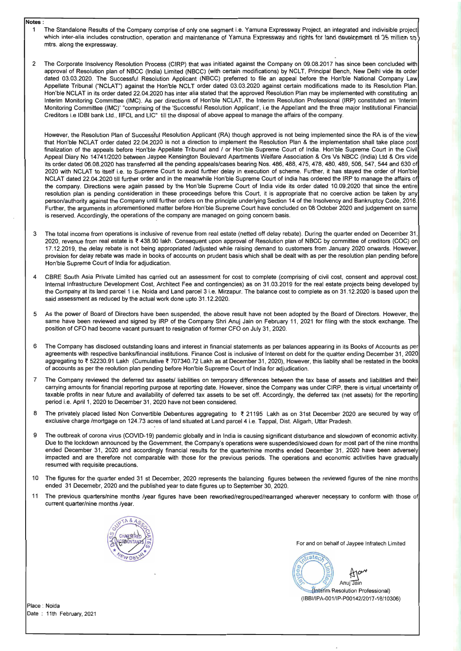# **Notes :**

- 1 The Standalone Results of the Company comprise of only one segment i.e. Yamuna Expressway Project, an integrated and indivisible project which inter-alia includes construction, operation and maintenance of Yamuna Expressway and rights for land development of 25 million sp. mtrs. along the expressway.
- 2 The Corporate Insolvency Resolution Process (CIRP) that was initiated against the Company on 09.08.2017 has since been concluded with approval of Resolution plan of NBCC (India) Limited (NBCC) (with certain modifications) by NCLT, Principal Bench, New Delhi vide its order dated 03.03.2020. The Successful Resolution Applicant (NBCC) preferred to file an appeal before the Hon'ble National Company Law Appellate Tribunal ("NCLAT") against the Hon'ble NCLT order dated 03.03.2020 against certain modifications made to its Resolution Plan. Hon'ble NCLAT in its order dated 22.04.2020 has inter alia stated that the approved Resolution Plan may be implemented with constituting an Interim Monitoring Committee (IMC). As per directions of Hon'ble NCLAT, the Interim Resolution Professional (IRP) constituted an 'Interim Monitoring Committee (IMC)' "comprising of the 'Successful Resolution Applicant', i.e the Appellant and the three major Institutional Financial Creditors i.e IDBI bank Ltd., IIFCL and LlC" till the disposal of above appeal to manage the affairs of the company.

However, the Resolution Plan of Successful Resolution Applicant (RA) though approved is not being implemented since the RA is of the view that Hon'ble NCLAT order dated 22.04.2020 is not a direction to implement the Resolution Plan & the implementation shall take place post finalization of the appeals before Hon'ble Appellate Tribunal and / or Hon'ble Supreme Court of India. Hon'ble Supreme Court in the Civil Appeal Diary No 14741/2020 between Jaypee Kensington Boulevard Apartments Welfare Association & Ors Vs NBCC (India) Ltd & Ors vide its order dated 06.08.2020 has transferred all the pending appeals/cases bearing Nos. 486, 488, 475, 478, 480, 489, 506, 547, 544 and 630 of 2020 with NCLAT to itself i.e. to Supreme Court to avoid further delay in execution of scheme. Further, it has stayed the order of Hon'ble NCLAT dated 22.04.2020 till further order and in the meanwhile Hon'ble Supreme Court of India has ordered the IRP to manage the affairs of the company. Directions were again passed by the Hon'ble Supreme Court of India vide its order dated 10.09.2020 that since the entire resolution plan is pending consideration in these proceedings before this Court, it is appropriate that no coercive action be taken by any person/authority against the Company until further orders on the principle underlying Section 14 of the Insolvency and Bankruptcy Code, 2016. Further, the arguments in aforementioned matter before Hon'ble Supreme Court have concluded on 08 October 2020 and judgement on same is reserved. Accordingly, the operations of the company are managed on going concern basis.

- 3 The total income from operations is inclusive of revenue from real estate (netted off delay rebate). During the quarter ended on December 31, 2020, revenue from real estate is ₹ 438.90 lakh. Consequent upon approval of Resolution plan of NBCC by committee of creditors (COC) on 17.12.2019, the delay rebate is not being appropriated /adjusted while raising demand to customers from January 2020 onwards. However, provision for delay rebate was made in books of accounts on prudent basis which shall be dealt with as per the resolution plan pending before Hon'ble Supreme Court of India for adjudication.
- 4 CBRE South Asia Private Limited has carried out an assessment for cost to complete (comprising of civil cost, consent and approval cost, Internal Infrastructure Development Cost, Architect Fee and contingencies) as on 31.03.2019 for the real estate projects being developed by the Company at its land parcel 1 i.e. Noida and Land parcel 3 i.e. Mirzapur. The balance cost to complete as on 31.12.2020 is based upon the said assessment as reduced by the actual work done upto 31.12.2020.
- 5 As the power of Board of Directors have been suspended, the above result have not been adopted by the Board of Directors. However, the same have been reviewed and signed by IRP of the Company Shri Anuj Jain on February 11, 2021 for filing with the stock exchange. The position of CFO had become vacant pursuant to resignation of former CFO on July 31, 2020.
- 6 The Company has disclosed outstanding loans and interest in financial statements as per balances appearing in its Books of Accounts as per agreements with respective banks/financial institutions. Finance Cost is inclusive of Interest on debt for the quarter ending December 31, 2020 aggregating to ₹ 52230.91 Lakh (Cumulative ₹ 707340.72 Lakh as at December 31, 2020), However, this liablity shall be restated in the books of accounts as per the reolution plan pending before Hon'ble Supreme Court of India for adjudication.
- 7 The Company reviewed the deferred tax assets/ liabilities on temporary differences between the tax base of assets and liabilities and their carrying amounts for financial reporting purpose at reporting date. However, since the Company was under CIRP, there is virtual uncertainty of taxable profits in near future and availability of deferred tax assets to be set off. Accordingly, the deferred tax (net assets) for the reporting period i.e. April 1, 2020 to December 31, 2020 have not been considered.
- 8 The privately placed listed Non Convertible Debentures aggregating to ₹ 21195 Lakh as on 31st December 2020 are secured by way of exclusive charge /mortgage on 124.73 acres of land situated at Land parcel 4 i.e. Tappal, Dist. Aligarh, Uttar Pradesh.
- 9 The outbreak of corona virus (COVID-19) pandemic globally and in India is causing significant disturbance and slowdown of economic activity. Due to the lockdown announced by the Government, the Company's operations were suspended/slowed down for most part of the nine months ended December 31, 2020 and accordingly financial results for the quarter/nine months ended December 31, 2020 have been adversely impacted and are therefore not comparable with those for the previous periods. The operations and economic activities have gradually resumed with requisite precautions.
- 10 The figures for the quarter ended 31 st December, 2020 represents the balancing figures between the reviewed figures of the nine months ended 31 Decemebr, 2020 and the published year to date figures up to September 30, 2020.
- 11 The previous quarters/nine months /year figures have been reworked/regrouped/rearranged wherever necessary to conform with those of current quarter/nine months /year.



For and on behalf of Jaypee Infratech Limited



Place : Noida Date : 11th February, 2021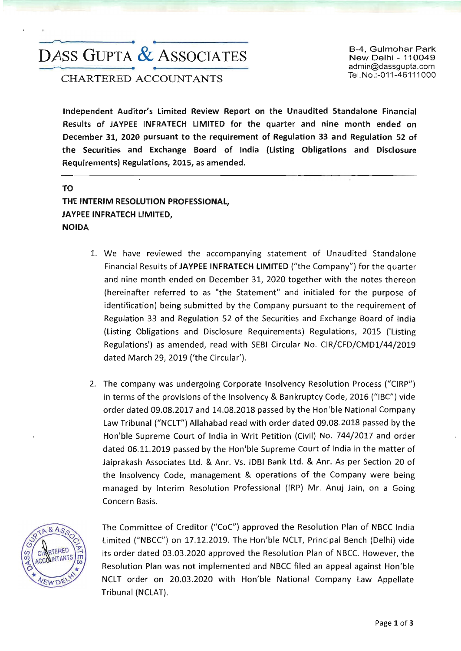# ~-------------. **•**  DASS GUPTA & ASSOCIATES ~-------------. **•**

TeI,No.:-011-46111000 CHARTERED ACCOUNTANTS

B-4, Gulmohar Park New Delhi - 110049 admin@dassgupta.com

Independent Auditor's Limited Review Report on the Unaudited Standalone Financial Results of JAYPEE INFRATECH LIMITED for the quarter and nine month ended on December 31, 2020 pursuant to the requirement of Regulation 33 and Regulation 52 of the Securities and Exchange Board of India (Listing Obligations and Disclosure Requirements) Regulations, 2015, as amended.

TO THE INTERIM RESOLUTION PROFESSIONAL, JAYPEE INFRATECH LIMITED, NOIDA

- 1. We have reviewed the accompanying statement of Unaudited Standalone Financial Results of JAYPEE INFRATECH LIMITED ("the Company") for the quarter and nine month ended on December 31, 2020 together with the notes thereon (hereinafter referred to as "the Statement" and initialed for the purpose of identification) being submitted by the Company pursuant to the requirement of Regulation 33 and Regulation 52 of the Securities and Exchange Board of India (Listing Obligations and Disclosure Requirements) Regulations, 2015 ('Usting Regulations') as amended, read with SEBI Circular No. CIR/CFD/CMD1/44/2019 dated March 29, 2019 ('the Circular').
- 2. The company was undergoing Corporate Insolvency Resolution Process ("CIRP") in terms of the provisions of the Insolvency & Bankruptcy Code, 2016 ("IBC") vide order dated 09.08.2017 and 14.08.2018 passed by the Hon'ble National Company law Tribunal ("NClT") Allahabad read with order dated 09.08.2018 passed by the Hon'ble Supreme Court of India in Writ Petition (Civil) No. 744/2017 and order dated 06.11.2019 passed by the Hon'ble Supreme Court of India in the matter of Jaiprakash Associates ltd. & Anr. Vs. IDBI Bank ltd. & Anr. As per Section 20 of the Insolvency Code, management & operations of the Company were being managed by Interim Resolution Professional (IRP) Mr. Anuj Jain, on a Going Concern Basis.



The Committee of Creditor *("COC")* approved the Resolution Plan of NBCC India Limited ("NBCC") on 17.12.2019. The Hon'ble NClT, Principal Bench (Delhi) vide its order dated 03.03.2020 approved the Resolution Plan of NBCC. However, the Resolution Plan was not implemented and NBCC filed an appeal against Hon'ble NClT order on 20.03.2020 with Hon'ble National Company law Appellate Tribunal (NClAT).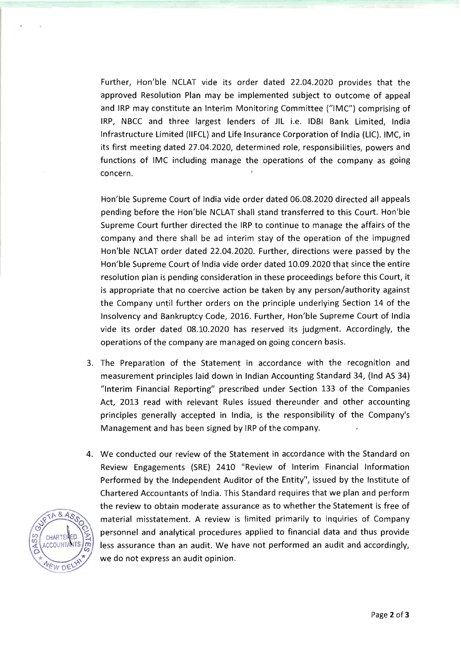Further, Hon'ble NCLAT vide its order dated 22.04.2020 provides that the approved Resolution Plan may be implemented subject to outcome of appeal and IRP may constitute an Interim Monitoring Committee ("IMC") comprising of IRP, NBCC and three largest lenders of JIL i.e. lOBI Bank Limited, India Infrastructure Limited (IIFCL) and Life Insurance Corporation of India (Lie). IMC, in its first meeting dated 27.04.2020, determined role, responsibilities, powers and functions of IMC including manage the operations of the company as going concern.

Hon'ble Supreme Court of India vide order dated 06.08.2020 directed all appeals pending before the Hon'ble NCLAT shall stand transferred to this Court. Hon'ble Supreme Court further directed the IRP to continue to manage the affairs of the company and there shall be ad interim stay of the operation of the impugned Hon'ble NCLAT order dated 22.04.2020. Further, directions were passed by the Hon'ble Supreme Court of India vide order dated 10.09.2020 that since the entire resolution plan is pending consideration in these proceedings before this Court, it is appropriate that no coercive action be taken by any person/authority against the Company until further orders on the principle underlying Section 14 of the Insolvency and Bankruptcy Code, 2016. Further, Hon'ble Supreme Court of India vide its order dated 08.10.2020 has reserved its judgment. Accordingly, the operations of the company are managed on going concern basis.

- 3. The Preparation of the Statement in accordance with the recognition and measurement principles laid down in Indian Accounting Standard 34, (Ind AS 34) "Interim Financial Reporting" prescribed under Section 133 of the Companies Act, 2013 read with relevant Rules issued thereunder and other accounting principles generally accepted in India, is the responsibility of the Company's Management and has been signed by IRP of the company.
- 4. We conducted our review of the Statement in accordance with the Standard on Review Engagements (SRE) 2410 "Review of Interim Financial Information Performed by the Independent Auditor of the Entity", issued by the Institute of Chartered Accountants of India. This Standard requires that we plan and perform the review to obtain moderate assurance as to whether the Statement is free of material misstatement. A review is limited primarily to inquiries of Company personnel and analytical procedures applied to financial data and thus provide less assurance than an audit. We have not performed an audit and accordingly, we do not express an audit opinion.

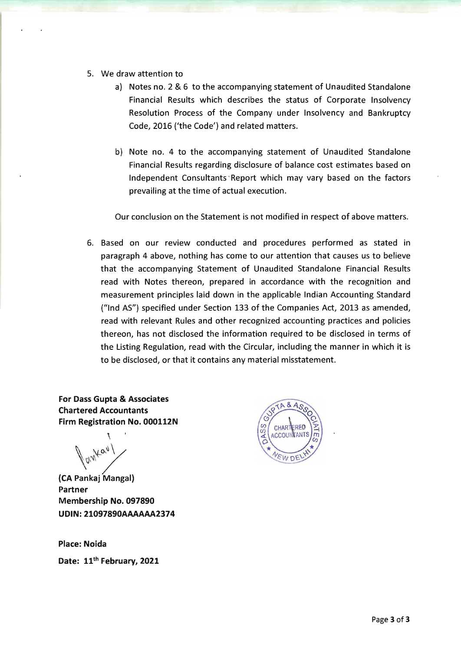- 5. We draw attention to
	- a) Notes no. 2 & 6 to the accompanying statement of Unaudited Standalone Financial Results which describes the status of Corporate Insolvency Resolution Process of the Company under Insolvency and Bankruptcy Code, 2016 ('the Code') and related matters.
	- b) Note no. 4 to the accompanying statement of Unaudited Standalone Financial Results regarding disclosure of balance cost estimates based on Independent Consultants 'Report which may vary based on the factors prevailing at the time of actual execution.

Our conclusion on the Statement is not modified in respect of above matters.

6. Based on our review conducted and procedures performed as stated in paragraph 4 above, nothing has come to our attention that causes us to believe that the accompanying Statement of Unaudited Standalone Financial Results read with Notes thereon, prepared in accordance with the recognition and measurement principles laid down in the applicable Indian Accounting Standard ("lnd AS") specified under Section 133 of the Companies Act, 2013 as amended, read with relevant Rules and other recognized accounting practices and policies thereon, has not disclosed the information required to be disclosed in terms of the Listing Regulation, read with the Circular, including the manner in which it is to be disclosed, or that it contains any material misstatement.

For Dass Gupta & Associates Chartered Accountants Firm Registration No. 000112N

 $\mathcal{L}_{\mathcal{L}}$  $\blacksquare$ 

(eA Pankaj Mangal) Partner Membership No. 097890 UDIN: 21097890AAAAAA2374

Place: Noida

Date: 11<sup>th</sup> February, 2021

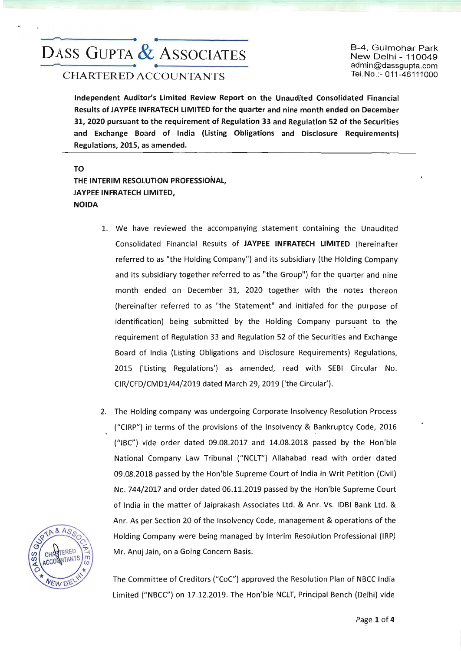# ~--------------1. **•**  DASS GUPTA & ASSOCIATES

B-4, Gulmohar Park New Delhi - 110049 admin@dassgupta.com TeI.No.:- 011-46111000

Independent Auditor's Limited Review Report on the Unaudited Consolidated Financial Results of JAYPEE INFRATECH LIMITED for the quarter and nine month ended on December 31,2020 pursuant to the requirement of Regulation 33 and Regulation 52 of the Securities and Exchange Board of India (Listing Obligations and Disclosure Requirements) Regulations, 2015, as amended.

TO THE INTERIM RESOLUTION PROFESSIONAL, JAYPEE INFRATECH LIMITED, NOIDA

- 1. We have reviewed the accompanying statement containing the Unaudited Consolidated Financial Results of JAYPEE INFRATECH LIMITED (hereinafter referred to as "the Holding Company") and its subsidiary (the Holding Company and its subsidiary together referred to as "the Group") for the quarter and nine month ended on December 31, 2020 together with the notes thereon (hereinafter referred to as "the Statement" and initialed for the purpose of identification) being submitted by the Holding Company pursuant to the requirement of Regulation 33 and Regulation 52 of the Securities and Exchange Board of India (Listing Obligations and Disclosure Requirements) Regulations, 2015 ('Listing Regulations') as amended, read with SEBI Circular No. CIR/CFD/CMD1/44/2019 dated March 29, 2019 (/the Circular').
- 2. The Holding company was undergoing Corporate Insolvency Resolution Process ("CIRP") in terms of the provisions of the Insolvency & Bankruptcy Code, 2016 ("IBC") vide order dated 09.08.2017 and 14.08.2018 passed by the Hon'ble National Company law Tribunal ("NClT") Allahabad read with order dated 09.08.2018 passed by the Hon'ble Supreme Court of India in Writ Petition (Civil) No. 744/2017 and order dated 06.11.2019 passed by the Hon'ble Supreme Court of India in the matter of Jaiprakash Associates ltd. & Anr. Vs. lOBI Bank ltd. & Anr. As per Section 20 of the Insolvency Code, management & operations of the Holding Company were being managed by Interim Resolution Professional (IRP) Mr. Anuj Jain, on a Going Concern Basis.



The Committee of Creditors ("COC') approved the Resolution Plan of NBCC India Limited ("NBCC") on 17.12.2019. The Hon'ble NCLT, Principal Bench (Delhi) vide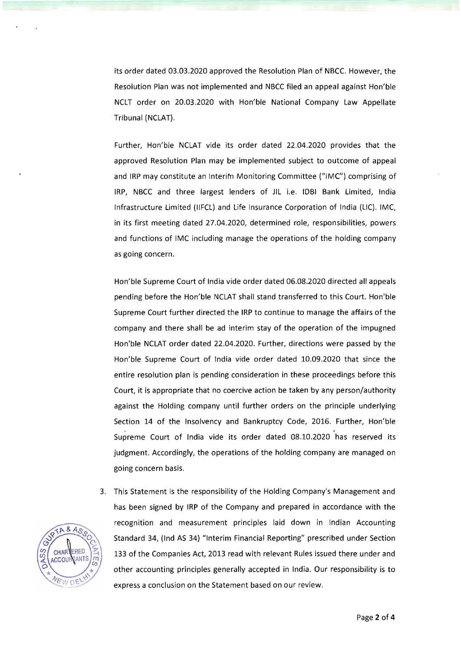its order dated 03.03.2020 approved the Resolution Plan of NBCC. However, the Resolution Plan was not implemented and NBCC filed an appeal against Hon'ble NCLT order on 20.03.2020 with Hon'ble National Company Law Appellate Tribunal (NCLAT).

Further, Hon'ble NCLAT vide its order dated 22.04.2020 provides that the approved Resolution Plan may be implemented subject to outcome of appeal and IRP may constitute an Interim Monitoring Committee ("IMC") comprising of IRP, NBCC and three largest lenders of JIL i.e. IDBI Bank Limited, India Infrastructure Limited (IIFCL) and Life Insurance Corporation of India (LIC). IMC, in its first meeting dated 27.04.2020, determined role, responsibilities, powers and functions of IMC including manage the operations of the holding company as going concern.

Hon'ble Supreme Court of India vide order dated 06.08.2020 directed all appeals pending before the Hon'ble NCLAT shall stand transferred to this Court. Hon'ble Supreme Court further directed the IRP to continue to manage the affairs of the company and there shall be ad interim stay of the operation of the impugned Hon'ble NCLAT order dated 22.04.2020. Further, directions were passed by the Hon'ble Supreme Court of India vide order dated 10.09.2020 that since the entire resolution plan is pending consideration in these proceedings before this Court, it is appropriate that no coercive action be taken by any person/authority against the Holding company until further orders on the principle underlying Section 14 of the Insolvency and Bankruptcy Code, 2016. Further, Hon'ble<br>Supreme Court of India vide its order dated 08.10.2020 has reserved its judgment. Accordingly, the operations of the holding company are managed on going concern basis.

3. This Statement is the responsibility of the Holding Company's Management and has been signed by IRP of the Company and prepared in accordance with the recognition and measurement principles laid down in Indian Accounting Standard 34, (Ind AS 34) "Interim Financial Reporting" prescribed under Section 133 of the Companies Act, 2013 read with relevant Rules issued there under and other accounting principles generally accepted in India. Our responsibility is to express a conclusion on the Statement based on our review.

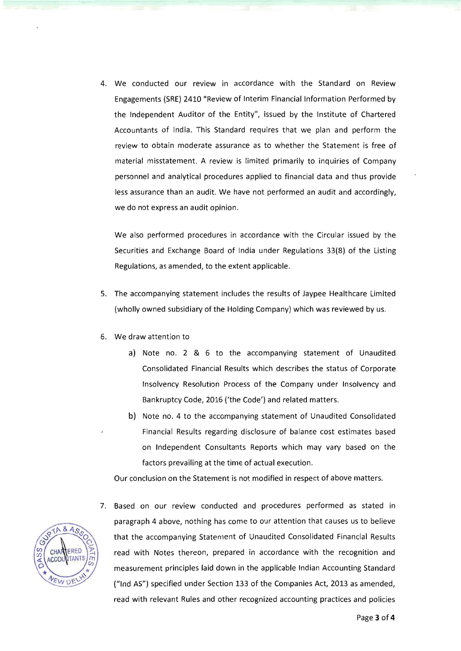4. We conducted our review in accordance with the Standard on Review Engagements (SRE) 2410 "Review of Interim Financial Information Performed by the Independent Auditor of the Entity", issued by the Institute of Chartered Accountants of India. This Standard requires that we plan and perform the review to obtain moderate assurance as to whether the Statement is free of material misstatement. A review is limited primarily to inquiries of Company personnel and analytical procedures applied to financial data and thus provide less assurance than an audit. We have not performed an audit and accordingly, we do not express an audit opinion.

We also performed procedures in accordance with the Circular issued by the Securities and Exchange Board of India under Regulations 33(8) of the Listing Regulations, as amended, to the extent applicable.

- 5. The accompanying statement includes the results of Jaypee Healthcare Limited (wholly owned subsidiary of the Holding Company) which was reviewed by us.
- 6. We draw attention to
	- a) Note no. 2 & 6 to the accompanying statement of Unaudited Consolidated Financial Results which describes the status of Corporate Insolvency Resolution Process of the Company under Insolvency and Bankruptcy Code, 2016 ('the Code') and related matters.
	- b) Note no. 4 to the accompanying statement of Unaudited Consolidated Financial Results regarding disclosure of balance cost estimates based on Independent Consultants Reports which may vary based on the factors prevailing at the time of actual execution.

Our conclusion on the Statement is not modified in respect of above matters.

7. Based on our review conducted and procedures performed as stated in paragraph 4 above, nothing has come to our attention that causes us to believe that the accompanying Statement of Unaudited Consolidated Financial Results read with Notes thereon, prepared in accordance with the recognition and measurement principles laid down in the applicable Indian Accounting Standard ("Ind AS") specified under Section 133 of the Companies Act, 2013 as amended, read with relevant Rules and other recognized accounting practices and policies